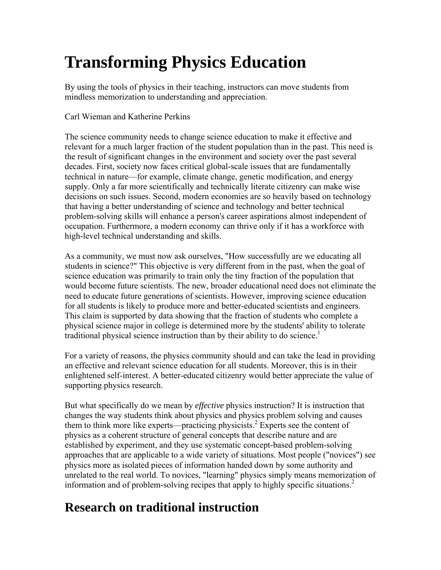# **Transforming Physics Education**

By using the tools of physics in their teaching, instructors can move students from mindless memorization to understanding and appreciation.

#### Carl Wieman and Katherine Perkins

The science community needs to change science education to make it effective and relevant for a much larger fraction of the student population than in the past. This need is the result of significant changes in the environment and society over the past several decades. First, society now faces critical global-scale issues that are fundamentally technical in nature—for example, climate change, genetic modification, and energy supply. Only a far more scientifically and technically literate citizenry can make wise decisions on such issues. Second, modern economies are so heavily based on technology that having a better understanding of science and technology and better technical problem-solving skills will enhance a person's career aspirations almost independent of occupation. Furthermore, a modern economy can thrive only if it has a workforce with high-level technical understanding and skills.

As a community, we must now ask ourselves, "How successfully are we educating all students in science?" This objective is very different from in the past, when the goal of science education was primarily to train only the tiny fraction of the population that would become future scientists. The new, broader educational need does not eliminate the need to educate future generations of scientists. However, improving science education for all students is likely to produce more and better-educated scientists and engineers. This claim is supported by data showing that the fraction of students who complete a physical science major in college is determined more by the students' ability to tolerate traditional physical science instruction than by their ability to do science.<sup>1</sup>

For a variety of reasons, the physics community should and can take the lead in providing an effective and relevant science education for all students. Moreover, this is in their enlightened self-interest. A better-educated citizenry would better appreciate the value of supporting physics research.

But what specifically do we mean by *effective* physics instruction? It is instruction that changes the way students think about physics and physics problem solving and causes them to think more like experts—practicing physicists.<sup>2</sup> Experts see the content of physics as a coherent structure of general concepts that describe nature and are established by experiment, and they use systematic concept-based problem-solving approaches that are applicable to a wide variety of situations. Most people ("novices") see physics more as isolated pieces of information handed down by some authority and unrelated to the real world. To novices, "learning" physics simply means memorization of information and of problem-solving recipes that apply to highly specific situations.<sup>2</sup>

## **Research on traditional instruction**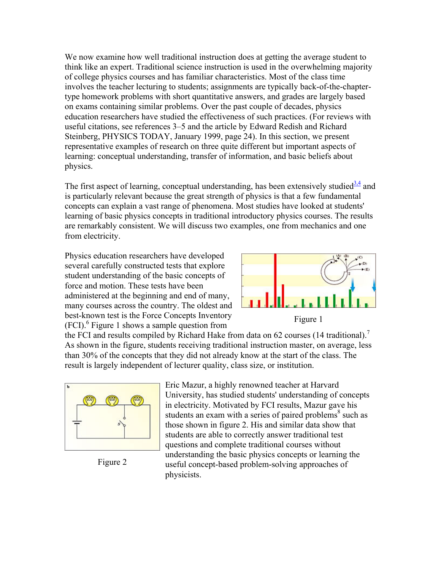We now examine how well traditional instruction does at getting the average student to think like an expert. Traditional science instruction is used in the overwhelming majority of college physics courses and has familiar characteristics. Most of the class time involves the teacher lecturing to students; assignments are typically back-of-the-chaptertype homework problems with short quantitative answers, and grades are largely based on exams containing similar problems. Over the past couple of decades, physics education researchers have studied the effectiveness of such practices. (For reviews with useful citations, see references 3–5 and the article by Edward Redish and Richard Steinberg, PHYSICS TODAY, January 1999, page 24). In this section, we present representative examples of research on three quite different but important aspects of learning: conceptual understanding, transfer of information, and basic beliefs about physics.

The first aspect of learning, conceptual understanding, has been extensively studied  $3.4$  and is particularly relevant because the great strength of physics is that a few fundamental concepts can explain a vast range of phenomena. Most studies have looked at students' learning of basic physics concepts in traditional introductory physics courses. The results are remarkably consistent. We will discuss two examples, one from mechanics and one from electricity.

Physics education researchers have developed several carefully constructed tests that explore student understanding of the basic concepts of force and motion. These tests have been administered at the beginning and end of many, many courses across the country. The oldest and best-known test is the Force Concepts Inventory (FCI).6 Figure 1 shows a sample question from



Figure 1

the FCI and results compiled by Richard Hake from data on 62 courses (14 traditional).<sup>7</sup> As shown in the figure, students receiving traditional instruction master, on average, less than 30% of the concepts that they did not already know at the start of the class. The result is largely independent of lecturer quality, class size, or institution.



Figure 2

Eric Mazur, a highly renowned teacher at Harvard University, has studied students' understanding of concepts in electricity. Motivated by FCI results, Mazur gave his students an exam with a series of paired problems<sup>8</sup> such as those shown in figure 2. His and similar data show that students are able to correctly answer traditional test questions and complete traditional courses without understanding the basic physics concepts or learning the useful concept-based problem-solving approaches of physicists.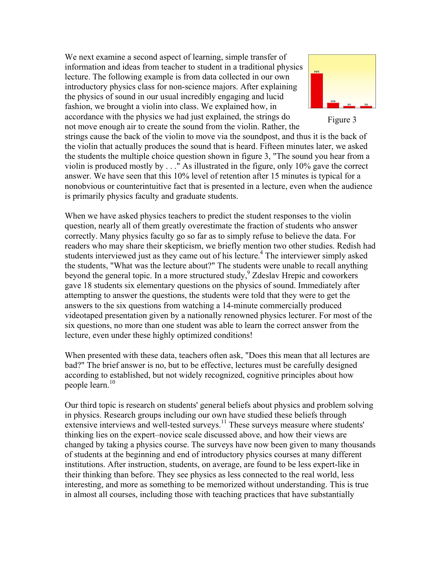We next examine a second aspect of learning, simple transfer of information and ideas from teacher to student in a traditional physics lecture. The following example is from data collected in our own introductory physics class for non-science majors. After explaining the physics of sound in our usual incredibly engaging and lucid fashion, we brought a violin into class. We explained how, in accordance with the physics we had just explained, the strings do not move enough air to create the sound from the violin. Rather, the



Figure 3

strings cause the back of the violin to move via the soundpost, and thus it is the back of the violin that actually produces the sound that is heard. Fifteen minutes later, we asked the students the multiple choice question shown in figure 3, "The sound you hear from a violin is produced mostly by . . ." As illustrated in the figure, only 10% gave the correct answer. We have seen that this 10% level of retention after 15 minutes is typical for a nonobvious or counterintuitive fact that is presented in a lecture, even when the audience is primarily physics faculty and graduate students.

When we have asked physics teachers to predict the student responses to the violin question, nearly all of them greatly overestimate the fraction of students who answer correctly. Many physics faculty go so far as to simply refuse to believe the data. For readers who may share their skepticism, we briefly mention two other studies. Redish had students interviewed just as they came out of his lecture.<sup>4</sup> The interviewer simply asked the students, "What was the lecture about?" The students were unable to recall anything beyond the general topic. In a more structured study,<sup>9</sup> Zdeslav Hrepic and coworkers gave 18 students six elementary questions on the physics of sound. Immediately after attempting to answer the questions, the students were told that they were to get the answers to the six questions from watching a 14-minute commercially produced videotaped presentation given by a nationally renowned physics lecturer. For most of the six questions, no more than one student was able to learn the correct answer from the lecture, even under these highly optimized conditions!

When presented with these data, teachers often ask, "Does this mean that all lectures are bad?" The brief answer is no, but to be effective, lectures must be carefully designed according to established, but not widely recognized, cognitive principles about how people learn. $10<sup>10</sup>$ 

Our third topic is research on students' general beliefs about physics and problem solving in physics. Research groups including our own have studied these beliefs through extensive interviews and well-tested surveys.<sup>11</sup> These surveys measure where students' thinking lies on the expert–novice scale discussed above, and how their views are changed by taking a physics course. The surveys have now been given to many thousands of students at the beginning and end of introductory physics courses at many different institutions. After instruction, students, on average, are found to be less expert-like in their thinking than before. They see physics as less connected to the real world, less interesting, and more as something to be memorized without understanding. This is true in almost all courses, including those with teaching practices that have substantially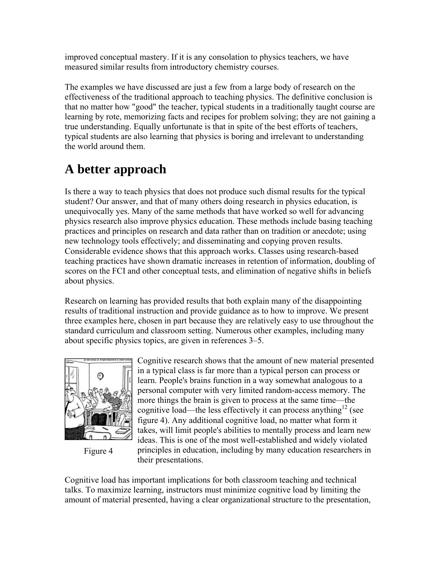improved conceptual mastery. If it is any consolation to physics teachers, we have measured similar results from introductory chemistry courses.

The examples we have discussed are just a few from a large body of research on the effectiveness of the traditional approach to teaching physics. The definitive conclusion is that no matter how "good" the teacher, typical students in a traditionally taught course are learning by rote, memorizing facts and recipes for problem solving; they are not gaining a true understanding. Equally unfortunate is that in spite of the best efforts of teachers, typical students are also learning that physics is boring and irrelevant to understanding the world around them.

# **A better approach**

Is there a way to teach physics that does not produce such dismal results for the typical student? Our answer, and that of many others doing research in physics education, is unequivocally yes. Many of the same methods that have worked so well for advancing physics research also improve physics education. These methods include basing teaching practices and principles on research and data rather than on tradition or anecdote; using new technology tools effectively; and disseminating and copying proven results. Considerable evidence shows that this approach works. Classes using research-based teaching practices have shown dramatic increases in retention of information, doubling of scores on the FCI and other conceptual tests, and elimination of negative shifts in beliefs about physics.

Research on learning has provided results that both explain many of the disappointing results of traditional instruction and provide guidance as to how to improve. We present three examples here, chosen in part because they are relatively easy to use throughout the standard curriculum and classroom setting. Numerous other examples, including many about specific physics topics, are given in references 3–5.



Figure 4

Cognitive research shows that the amount of new material presented in a typical class is far more than a typical person can process or learn. People's brains function in a way somewhat analogous to a personal computer with very limited random-access memory. The more things the brain is given to process at the same time—the cognitive load—the less effectively it can process anything<sup>12</sup> (see figure 4). Any additional cognitive load, no matter what form it takes, will limit people's abilities to mentally process and learn new ideas. This is one of the most well-established and widely violated principles in education, including by many education researchers in their presentations.

Cognitive load has important implications for both classroom teaching and technical talks. To maximize learning, instructors must minimize cognitive load by limiting the amount of material presented, having a clear organizational structure to the presentation,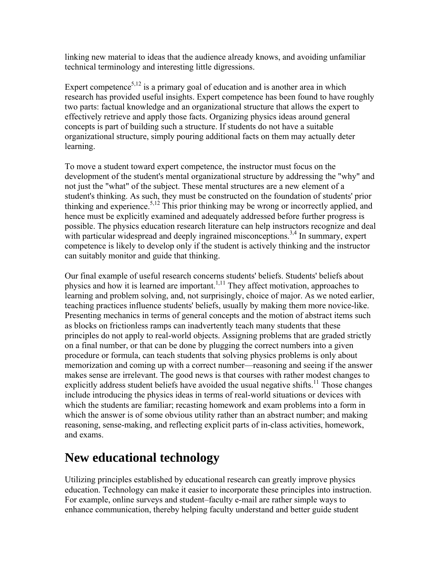linking new material to ideas that the audience already knows, and avoiding unfamiliar technical terminology and interesting little digressions.

Expert competence<sup>5,12</sup> is a primary goal of education and is another area in which research has provided useful insights. Expert competence has been found to have roughly two parts: factual knowledge and an organizational structure that allows the expert to effectively retrieve and apply those facts. Organizing physics ideas around general concepts is part of building such a structure. If students do not have a suitable organizational structure, simply pouring additional facts on them may actually deter learning.

To move a student toward expert competence, the instructor must focus on the development of the student's mental organizational structure by addressing the "why" and not just the "what" of the subject. These mental structures are a new element of a student's thinking. As such, they must be constructed on the foundation of students' prior thinking and experience.<sup>5,12</sup> This prior thinking may be wrong or incorrectly applied, and hence must be explicitly examined and adequately addressed before further progress is possible. The physics education research literature can help instructors recognize and deal with particular widespread and deeply ingrained misconceptions.<sup>3,4</sup> In summary, expert competence is likely to develop only if the student is actively thinking and the instructor can suitably monitor and guide that thinking.

Our final example of useful research concerns students' beliefs. Students' beliefs about physics and how it is learned are important.<sup>1,11</sup> They affect motivation, approaches to learning and problem solving, and, not surprisingly, choice of major. As we noted earlier, teaching practices influence students' beliefs, usually by making them more novice-like. Presenting mechanics in terms of general concepts and the motion of abstract items such as blocks on frictionless ramps can inadvertently teach many students that these principles do not apply to real-world objects. Assigning problems that are graded strictly on a final number, or that can be done by plugging the correct numbers into a given procedure or formula, can teach students that solving physics problems is only about memorization and coming up with a correct number—reasoning and seeing if the answer makes sense are irrelevant. The good news is that courses with rather modest changes to explicitly address student beliefs have avoided the usual negative shifts.<sup>11</sup> Those changes include introducing the physics ideas in terms of real-world situations or devices with which the students are familiar; recasting homework and exam problems into a form in which the answer is of some obvious utility rather than an abstract number; and making reasoning, sense-making, and reflecting explicit parts of in-class activities, homework, and exams.

#### **New educational technology**

Utilizing principles established by educational research can greatly improve physics education. Technology can make it easier to incorporate these principles into instruction. For example, online surveys and student–faculty e-mail are rather simple ways to enhance communication, thereby helping faculty understand and better guide student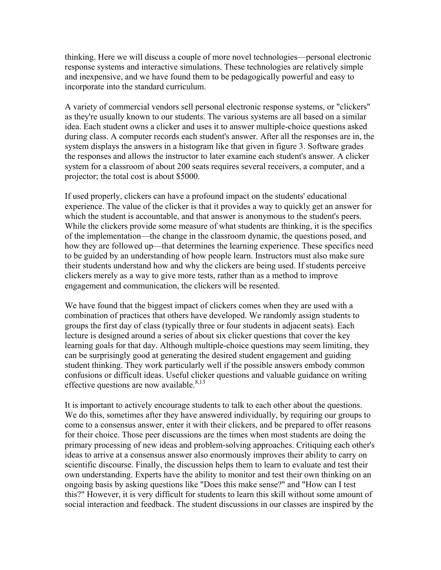thinking. Here we will discuss a couple of more novel technologies—personal electronic response systems and interactive simulations. These technologies are relatively simple and inexpensive, and we have found them to be pedagogically powerful and easy to incorporate into the standard curriculum.

A variety of commercial vendors sell personal electronic response systems, or "clickers" as they're usually known to our students. The various systems are all based on a similar idea. Each student owns a clicker and uses it to answer multiple-choice questions asked during class. A computer records each student's answer. After all the responses are in, the system displays the answers in a histogram like that given in figure 3. Software grades the responses and allows the instructor to later examine each student's answer. A clicker system for a classroom of about 200 seats requires several receivers, a computer, and a projector; the total cost is about \$5000.

If used properly, clickers can have a profound impact on the students' educational experience. The value of the clicker is that it provides a way to quickly get an answer for which the student is accountable, and that answer is anonymous to the student's peers. While the clickers provide some measure of what students are thinking, it is the specifics of the implementation—the change in the classroom dynamic, the questions posed, and how they are followed up—that determines the learning experience. These specifics need to be guided by an understanding of how people learn. Instructors must also make sure their students understand how and why the clickers are being used. If students perceive clickers merely as a way to give more tests, rather than as a method to improve engagement and communication, the clickers will be resented.

We have found that the biggest impact of clickers comes when they are used with a combination of practices that others have developed. We randomly assign students to groups the first day of class (typically three or four students in adjacent seats). Each lecture is designed around a series of about six clicker questions that cover the key learning goals for that day. Although multiple-choice questions may seem limiting, they can be surprisingly good at generating the desired student engagement and guiding student thinking. They work particularly well if the possible answers embody common confusions or difficult ideas. Useful clicker questions and valuable guidance on writing effective questions are now available. $8,13$ 

It is important to actively encourage students to talk to each other about the questions. We do this, sometimes after they have answered individually, by requiring our groups to come to a consensus answer, enter it with their clickers, and be prepared to offer reasons for their choice. Those peer discussions are the times when most students are doing the primary processing of new ideas and problem-solving approaches. Critiquing each other's ideas to arrive at a consensus answer also enormously improves their ability to carry on scientific discourse. Finally, the discussion helps them to learn to evaluate and test their own understanding. Experts have the ability to monitor and test their own thinking on an ongoing basis by asking questions like "Does this make sense?" and "How can I test this?" However, it is very difficult for students to learn this skill without some amount of social interaction and feedback. The student discussions in our classes are inspired by the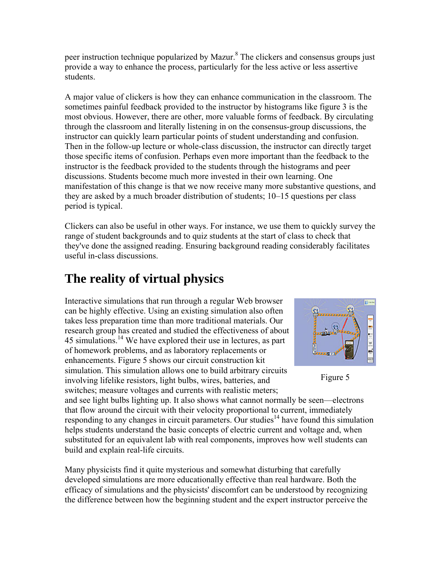peer instruction technique popularized by Mazur.<sup>8</sup> The clickers and consensus groups just provide a way to enhance the process, particularly for the less active or less assertive students.

A major value of clickers is how they can enhance communication in the classroom. The sometimes painful feedback provided to the instructor by histograms like figure 3 is the most obvious. However, there are other, more valuable forms of feedback. By circulating through the classroom and literally listening in on the consensus-group discussions, the instructor can quickly learn particular points of student understanding and confusion. Then in the follow-up lecture or whole-class discussion, the instructor can directly target those specific items of confusion. Perhaps even more important than the feedback to the instructor is the feedback provided to the students through the histograms and peer discussions. Students become much more invested in their own learning. One manifestation of this change is that we now receive many more substantive questions, and they are asked by a much broader distribution of students; 10–15 questions per class period is typical.

Clickers can also be useful in other ways. For instance, we use them to quickly survey the range of student backgrounds and to quiz students at the start of class to check that they've done the assigned reading. Ensuring background reading considerably facilitates useful in-class discussions.

## **The reality of virtual physics**

Interactive simulations that run through a regular Web browser can be highly effective. Using an existing simulation also often takes less preparation time than more traditional materials. Our research group has created and studied the effectiveness of about 45 simulations.14 We have explored their use in lectures, as part of homework problems, and as laboratory replacements or enhancements. Figure 5 shows our circuit construction kit simulation. This simulation allows one to build arbitrary circuits involving lifelike resistors, light bulbs, wires, batteries, and switches; measure voltages and currents with realistic meters;





and see light bulbs lighting up. It also shows what cannot normally be seen—electrons that flow around the circuit with their velocity proportional to current, immediately responding to any changes in circuit parameters. Our studies<sup>14</sup> have found this simulation helps students understand the basic concepts of electric current and voltage and, when substituted for an equivalent lab with real components, improves how well students can build and explain real-life circuits.

Many physicists find it quite mysterious and somewhat disturbing that carefully developed simulations are more educationally effective than real hardware. Both the efficacy of simulations and the physicists' discomfort can be understood by recognizing the difference between how the beginning student and the expert instructor perceive the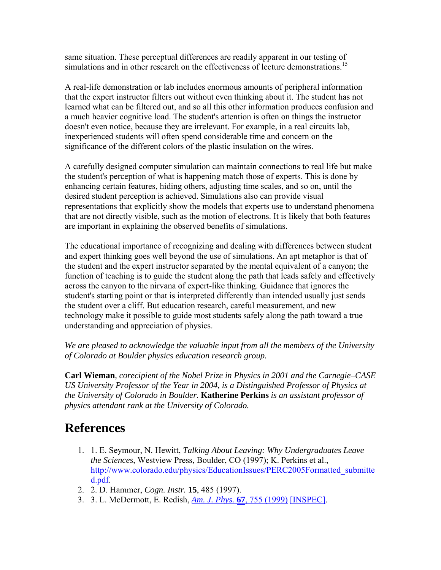same situation. These perceptual differences are readily apparent in our testing of simulations and in other research on the effectiveness of lecture demonstrations.<sup>15</sup>

A real-life demonstration or lab includes enormous amounts of peripheral information that the expert instructor filters out without even thinking about it. The student has not learned what can be filtered out, and so all this other information produces confusion and a much heavier cognitive load. The student's attention is often on things the instructor doesn't even notice, because they are irrelevant. For example, in a real circuits lab, inexperienced students will often spend considerable time and concern on the significance of the different colors of the plastic insulation on the wires.

A carefully designed computer simulation can maintain connections to real life but make the student's perception of what is happening match those of experts. This is done by enhancing certain features, hiding others, adjusting time scales, and so on, until the desired student perception is achieved. Simulations also can provide visual representations that explicitly show the models that experts use to understand phenomena that are not directly visible, such as the motion of electrons. It is likely that both features are important in explaining the observed benefits of simulations.

The educational importance of recognizing and dealing with differences between student and expert thinking goes well beyond the use of simulations. An apt metaphor is that of the student and the expert instructor separated by the mental equivalent of a canyon; the function of teaching is to guide the student along the path that leads safely and effectively across the canyon to the nirvana of expert-like thinking. Guidance that ignores the student's starting point or that is interpreted differently than intended usually just sends the student over a cliff. But education research, careful measurement, and new technology make it possible to guide most students safely along the path toward a true understanding and appreciation of physics.

*We are pleased to acknowledge the valuable input from all the members of the University of Colorado at Boulder physics education research group.* 

**Carl Wieman***, corecipient of the Nobel Prize in Physics in 2001 and the Carnegie–CASE US University Professor of the Year in 2004, is a Distinguished Professor of Physics at the University of Colorado in Boulder.* **Katherine Perkins** *is an assistant professor of physics attendant rank at the University of Colorado.*

#### **References**

- 1. 1. E. Seymour, N. Hewitt, *Talking About Leaving: Why Undergraduates Leave the Sciences*, Westview Press, Boulder, CO (1997); K. Perkins et al., [http://www.colorado.edu/physics/EducationIssues/PERC2005Formatted\\_submitte](http://www.colorado.edu/physics/EducationIssues/PERC2005Formatted_submitted.pdf) [d.pdf.](http://www.colorado.edu/physics/EducationIssues/PERC2005Formatted_submitted.pdf)
- 2. 2. D. Hammer, *Cogn. Instr.* **15**, 485 (1997).
- 3. 3. L. McDermott, E. Redish, *[Am. J. Phys.](http://link.aip.org/link/?AJP/67/755/1)* **67**, 755 (1999) [\[INSPEC\].](http://scitation.aip.org/getabs/insref_abs.jsp?key=DEFAULT&prog=getinsref&id=6339171&idtype=inspec)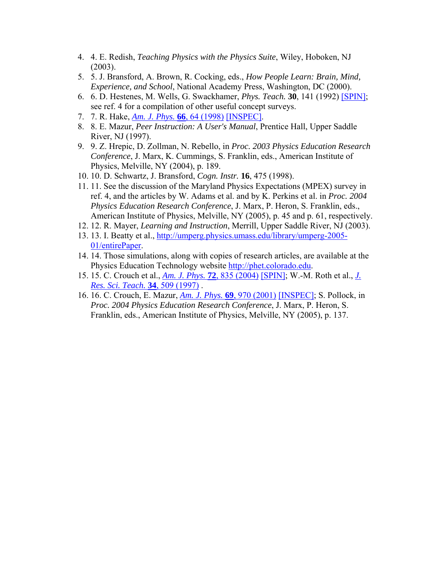- 4. 4. E. Redish, *Teaching Physics with the Physics Suite*, Wiley, Hoboken, NJ (2003).
- 5. 5. J. Bransford, A. Brown, R. Cocking, eds., *How People Learn: Brain, Mind, Experience, and School*, National Academy Press, Washington, DC (2000).
- 6. 6. D. Hestenes, M. Wells, G. Swackhamer, *Phys. Teach.* **30**, 141 (1992) [\[SPIN\];](http://scitation.aip.org/getabs/servlet/GetabsServlet?key=PHTOAD&prog=spinref&id=PHTEAH000030000003000141000001&idtype=cvips&linksmith=yes) see ref. 4 for a compilation of other useful concept surveys.
- 7. 7. R. Hake, *[Am. J. Phys.](http://link.aip.org/link/?AJP/66/64/1)* **66**, 64 (1998) [\[INSPEC\]](http://scitation.aip.org/getabs/insref_abs.jsp?key=DEFAULT&prog=getinsref&id=5795566&idtype=inspec).
- 8. 8. E. Mazur, *Peer Instruction: A User's Manual*, Prentice Hall, Upper Saddle River, NJ (1997).
- 9. 9. Z. Hrepic, D. Zollman, N. Rebello, in *Proc. 2003 Physics Education Research Conference*, J. Marx, K. Cummings, S. Franklin, eds., American Institute of Physics, Melville, NY (2004), p. 189.
- 10. 10. D. Schwartz, J. Bransford, *Cogn. Instr.* **16**, 475 (1998).
- 11. 11. See the discussion of the Maryland Physics Expectations (MPEX) survey in ref. 4, and the articles by W. Adams et al. and by K. Perkins et al. in *Proc. 2004 Physics Education Research Conference*, J. Marx, P. Heron, S. Franklin, eds., American Institute of Physics, Melville, NY (2005), p. 45 and p. 61, respectively.
- 12. 12. R. Mayer, *Learning and Instruction*, Merrill, Upper Saddle River, NJ (2003).
- 13. 13. I. Beatty et al., [http://umperg.physics.umass.edu/library/umperg-2005-](http://umperg.physics.umass.edu/library/umperg-2005-01/entirePaper) [01/entirePaper.](http://umperg.physics.umass.edu/library/umperg-2005-01/entirePaper)
- 14. 14. Those simulations, along with copies of research articles, are available at the Physics Education Technology website [http://phet.colorado.edu.](http://phet.colorado.edu/)
- 15. 15. C. Crouch et al., *[Am. J. Phys.](http://link.aip.org/link/?AJP/72/835/1)* **72**, 835 (2004) [\[SPIN\]](http://scitation.aip.org/getabs/servlet/GetabsServlet?key=PHTOAD&prog=spinref&id=AJPIAS000072000006000835000001&idtype=cvips&linksmith=yes); W.-M. Roth et al., *[J.](http://dx.doi.org/10.1002/(SICI)1098-2736(199705)34:5%3c509::AID-TEA6%3e3.0.CO;2-U)  [Res. Sci. Teach.](http://dx.doi.org/10.1002/(SICI)1098-2736(199705)34:5%3c509::AID-TEA6%3e3.0.CO;2-U)* **34**, 509 (1997) .
- 16. 16. C. Crouch, E. Mazur, *[Am. J. Phys.](http://link.aip.org/link/?AJP/69/970/1)* **69**, 970 (2001) [\[INSPEC\];](http://scitation.aip.org/getabs/insref_abs.jsp?key=DEFAULT&prog=getinsref&id=7012702&idtype=inspec) S. Pollock, in *Proc. 2004 Physics Education Research Conference*, J. Marx, P. Heron, S. Franklin, eds., American Institute of Physics, Melville, NY (2005), p. 137.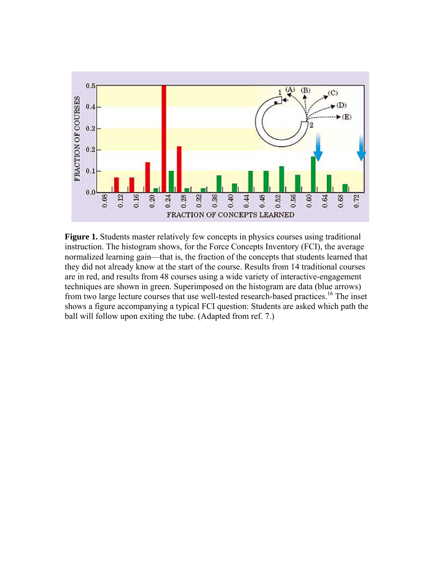

**Figure 1.** Students master relatively few concepts in physics courses using traditional instruction. The histogram shows, for the Force Concepts Inventory (FCI), the average normalized learning gain—that is, the fraction of the concepts that students learned that they did not already know at the start of the course. Results from 14 traditional courses are in red, and results from 48 courses using a wide variety of interactive-engagement techniques are shown in green. Superimposed on the histogram are data (blue arrows) from two large lecture courses that use well-tested research-based practices.<sup>16</sup> The inset shows a figure accompanying a typical FCI question: Students are asked which path the ball will follow upon exiting the tube. (Adapted from ref. 7.)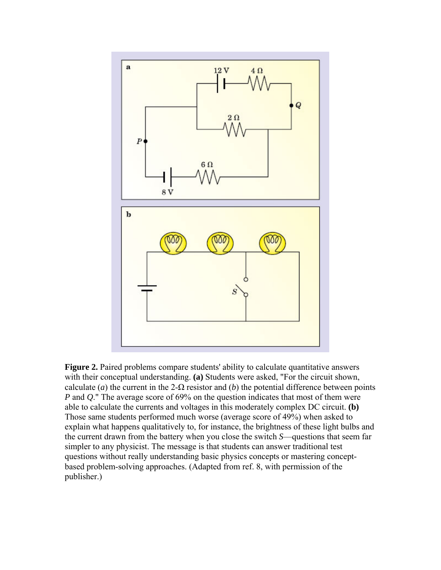

**Figure 2.** Paired problems compare students' ability to calculate quantitative answers with their conceptual understanding. **(a)** Students were asked, "For the circuit shown, calculate (*a*) the current in the 2- $\Omega$  resistor and (*b*) the potential difference between points *P* and *Q*." The average score of 69% on the question indicates that most of them were able to calculate the currents and voltages in this moderately complex DC circuit. **(b)** Those same students performed much worse (average score of 49%) when asked to explain what happens qualitatively to, for instance, the brightness of these light bulbs and the current drawn from the battery when you close the switch *S*—questions that seem far simpler to any physicist. The message is that students can answer traditional test questions without really understanding basic physics concepts or mastering conceptbased problem-solving approaches. (Adapted from ref. 8, with permission of the publisher.)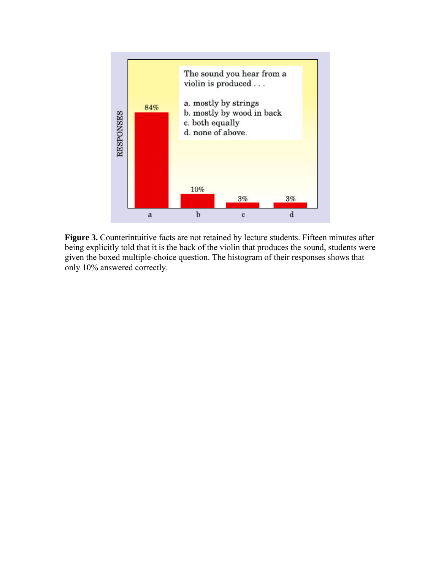

**Figure 3.** Counterintuitive facts are not retained by lecture students. Fifteen minutes after being explicitly told that it is the back of the violin that produces the sound, students were given the boxed multiple-choice question. The histogram of their responses shows that only 10% answered correctly.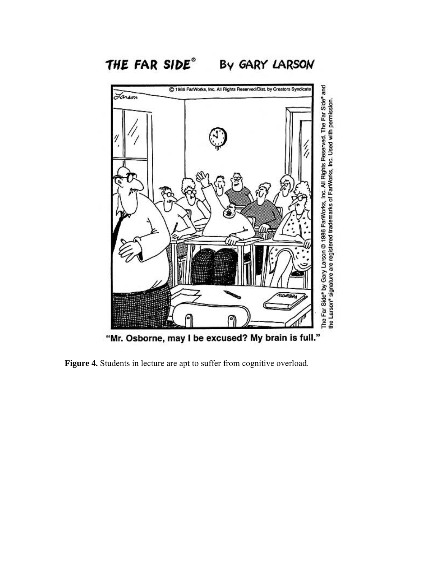

Figure 4. Students in lecture are apt to suffer from cognitive overload.